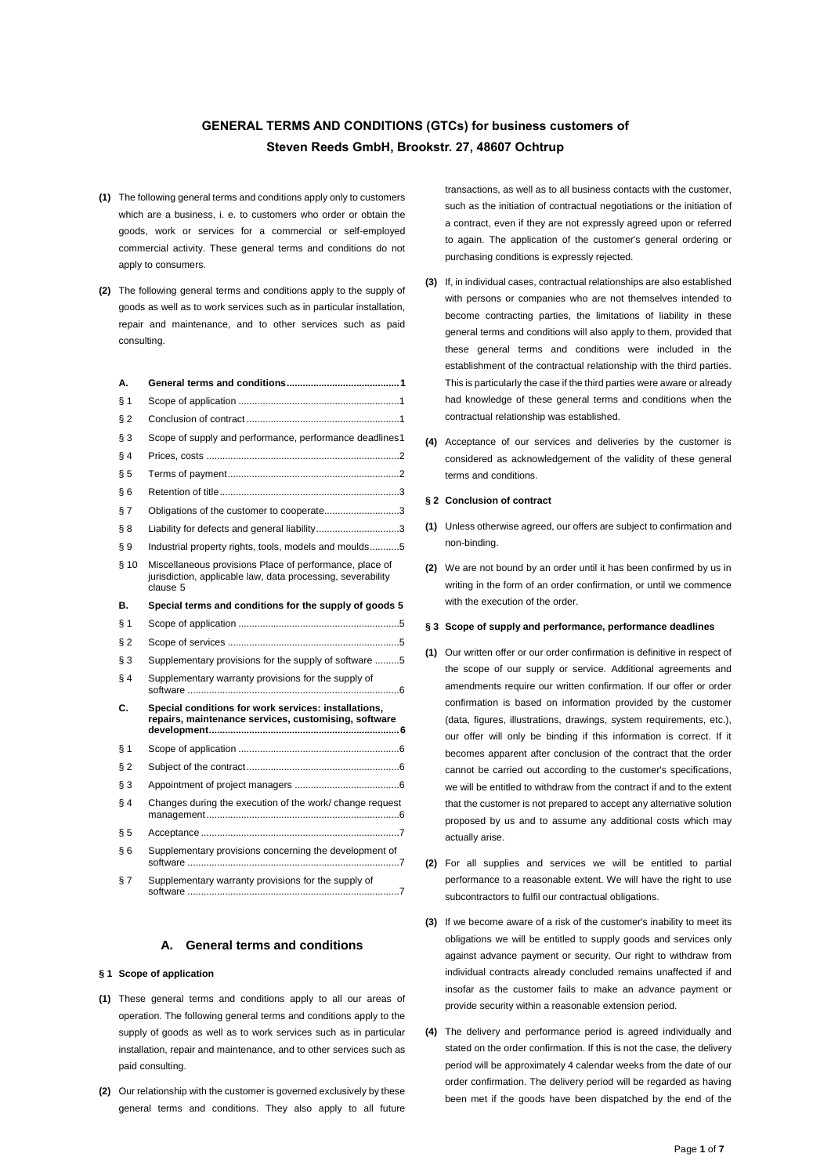# **GENERAL TERMS AND CONDITIONS (GTCs) for business customers of Steven Reeds GmbH, Brookstr. 27, 48607 Ochtrup**

- **(1)** The following general terms and conditions apply only to customers which are a business, i. e. to customers who order or obtain the goods, work or services for a commercial or self-employed commercial activity. These general terms and conditions do not apply to consumers.
- **(2)** The following general terms and conditions apply to the supply of goods as well as to work services such as in particular installation, repair and maintenance, and to other services such as paid consulting.

| А.    |                                                                                                                                    |  |
|-------|------------------------------------------------------------------------------------------------------------------------------------|--|
| § 1   |                                                                                                                                    |  |
| § 2   |                                                                                                                                    |  |
| §З    | Scope of supply and performance, performance deadlines1                                                                            |  |
| § 4   |                                                                                                                                    |  |
| § 5   |                                                                                                                                    |  |
| §6    |                                                                                                                                    |  |
| § 7   | Obligations of the customer to cooperate3                                                                                          |  |
| § 8   | Liability for defects and general liability3                                                                                       |  |
| § 9   | Industrial property rights, tools, models and moulds5                                                                              |  |
| § 10  | Miscellaneous provisions Place of performance, place of<br>jurisdiction, applicable law, data processing, severability<br>clause 5 |  |
| В.    | Special terms and conditions for the supply of goods 5                                                                             |  |
| § 1   |                                                                                                                                    |  |
| § 2   |                                                                                                                                    |  |
| §З    | Supplementary provisions for the supply of software 5                                                                              |  |
| § 4   | Supplementary warranty provisions for the supply of                                                                                |  |
| C.    | Special conditions for work services: installations,<br>repairs, maintenance services, customising, software                       |  |
| § 1   |                                                                                                                                    |  |
| $§$ 2 |                                                                                                                                    |  |
| $§$ 3 |                                                                                                                                    |  |
| § 4   | Changes during the execution of the work/ change request                                                                           |  |
| § 5   |                                                                                                                                    |  |
| §6    | Supplementary provisions concerning the development of                                                                             |  |
| § 7   | Supplementary warranty provisions for the supply of                                                                                |  |

# **A. General terms and conditions**

### <span id="page-0-1"></span><span id="page-0-0"></span>**§ 1 Scope of application**

- **(1)** These general terms and conditions apply to all our areas of operation. The following general terms and conditions apply to the supply of goods as well as to work services such as in particular installation, repair and maintenance, and to other services such as paid consulting.
- **(2)** Our relationship with the customer is governed exclusively by these general terms and conditions. They also apply to all future

transactions, as well as to all business contacts with the customer, such as the initiation of contractual negotiations or the initiation of a contract, even if they are not expressly agreed upon or referred to again. The application of the customer's general ordering or purchasing conditions is expressly rejected.

- **(3)** If, in individual cases, contractual relationships are also established with persons or companies who are not themselves intended to become contracting parties, the limitations of liability in these general terms and conditions will also apply to them, provided that these general terms and conditions were included in the establishment of the contractual relationship with the third parties. This is particularly the case if the third parties were aware or already had knowledge of these general terms and conditions when the contractual relationship was established.
- **(4)** Acceptance of our services and deliveries by the customer is considered as acknowledgement of the validity of these general terms and conditions.

#### <span id="page-0-2"></span>**§ 2 Conclusion of contract**

- **(1)** Unless otherwise agreed, our offers are subject to confirmation and non-binding.
- **(2)** We are not bound by an order until it has been confirmed by us in writing in the form of an order confirmation, or until we commence with the execution of the order.

#### <span id="page-0-3"></span>**§ 3 Scope of supply and performance, performance deadlines**

- **(1)** Our written offer or our order confirmation is definitive in respect of the scope of our supply or service. Additional agreements and amendments require our written confirmation. If our offer or order confirmation is based on information provided by the customer (data, figures, illustrations, drawings, system requirements, etc.), our offer will only be binding if this information is correct. If it becomes apparent after conclusion of the contract that the order cannot be carried out according to the customer's specifications, we will be entitled to withdraw from the contract if and to the extent that the customer is not prepared to accept any alternative solution proposed by us and to assume any additional costs which may actually arise.
- **(2)** For all supplies and services we will be entitled to partial performance to a reasonable extent. We will have the right to use subcontractors to fulfil our contractual obligations.
- **(3)** If we become aware of a risk of the customer's inability to meet its obligations we will be entitled to supply goods and services only against advance payment or security. Our right to withdraw from individual contracts already concluded remains unaffected if and insofar as the customer fails to make an advance payment or provide security within a reasonable extension period.
- **(4)** The delivery and performance period is agreed individually and stated on the order confirmation. If this is not the case, the delivery period will be approximately 4 calendar weeks from the date of our order confirmation. The delivery period will be regarded as having been met if the goods have been dispatched by the end of the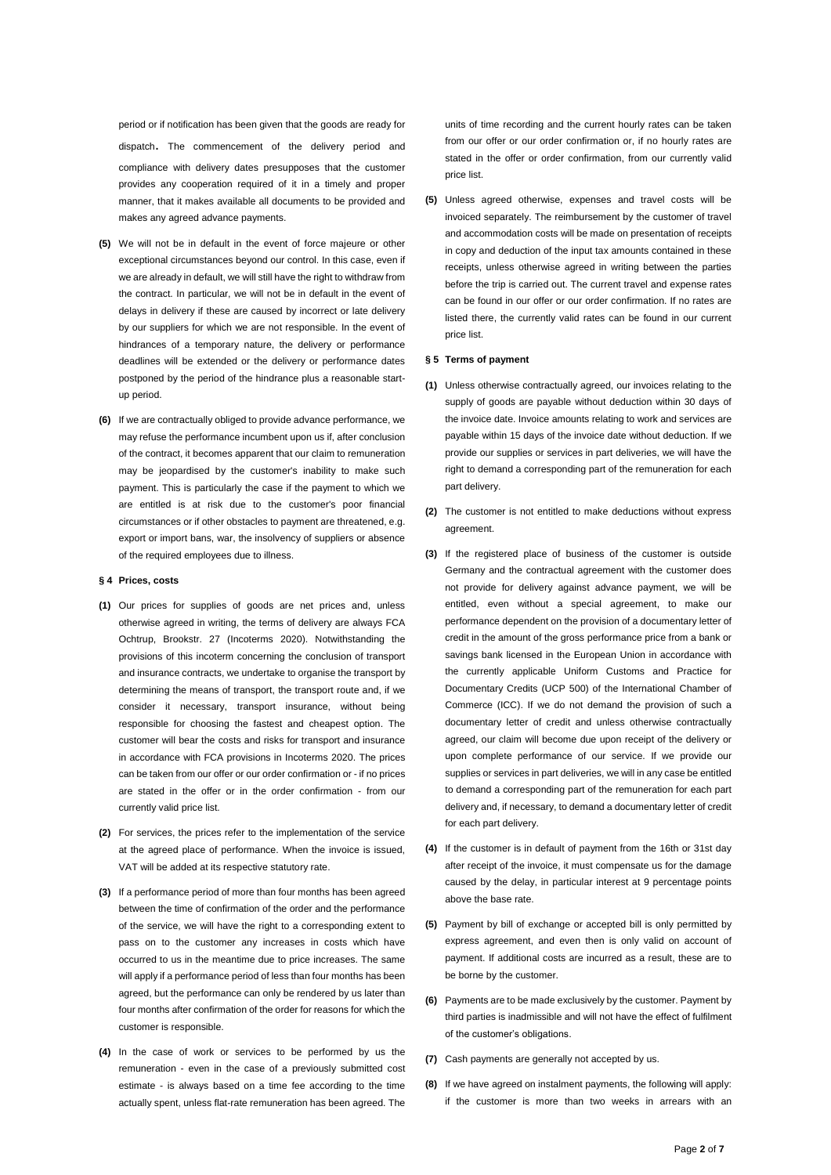period or if notification has been given that the goods are ready for dispatch. The commencement of the delivery period and compliance with delivery dates presupposes that the customer provides any cooperation required of it in a timely and proper manner, that it makes available all documents to be provided and makes any agreed advance payments.

- **(5)** We will not be in default in the event of force majeure or other exceptional circumstances beyond our control. In this case, even if we are already in default, we will still have the right to withdraw from the contract. In particular, we will not be in default in the event of delays in delivery if these are caused by incorrect or late delivery by our suppliers for which we are not responsible. In the event of hindrances of a temporary nature, the delivery or performance deadlines will be extended or the delivery or performance dates postponed by the period of the hindrance plus a reasonable startup period.
- **(6)** If we are contractually obliged to provide advance performance, we may refuse the performance incumbent upon us if, after conclusion of the contract, it becomes apparent that our claim to remuneration may be jeopardised by the customer's inability to make such payment. This is particularly the case if the payment to which we are entitled is at risk due to the customer's poor financial circumstances or if other obstacles to payment are threatened, e.g. export or import bans, war, the insolvency of suppliers or absence of the required employees due to illness.

#### <span id="page-1-0"></span>**§ 4 Prices, costs**

- **(1)** Our prices for supplies of goods are net prices and, unless otherwise agreed in writing, the terms of delivery are always FCA Ochtrup, Brookstr. 27 (Incoterms 2020). Notwithstanding the provisions of this incoterm concerning the conclusion of transport and insurance contracts, we undertake to organise the transport by determining the means of transport, the transport route and, if we consider it necessary, transport insurance, without being responsible for choosing the fastest and cheapest option. The customer will bear the costs and risks for transport and insurance in accordance with FCA provisions in Incoterms 2020. The prices can be taken from our offer or our order confirmation or - if no prices are stated in the offer or in the order confirmation - from our currently valid price list.
- **(2)** For services, the prices refer to the implementation of the service at the agreed place of performance. When the invoice is issued, VAT will be added at its respective statutory rate.
- **(3)** If a performance period of more than four months has been agreed between the time of confirmation of the order and the performance of the service, we will have the right to a corresponding extent to pass on to the customer any increases in costs which have occurred to us in the meantime due to price increases. The same will apply if a performance period of less than four months has been agreed, but the performance can only be rendered by us later than four months after confirmation of the order for reasons for which the customer is responsible.
- **(4)** In the case of work or services to be performed by us the remuneration - even in the case of a previously submitted cost estimate - is always based on a time fee according to the time actually spent, unless flat-rate remuneration has been agreed. The

units of time recording and the current hourly rates can be taken from our offer or our order confirmation or, if no hourly rates are stated in the offer or order confirmation, from our currently valid price list.

**(5)** Unless agreed otherwise, expenses and travel costs will be invoiced separately. The reimbursement by the customer of travel and accommodation costs will be made on presentation of receipts in copy and deduction of the input tax amounts contained in these receipts, unless otherwise agreed in writing between the parties before the trip is carried out. The current travel and expense rates can be found in our offer or our order confirmation. If no rates are listed there, the currently valid rates can be found in our current price list.

#### <span id="page-1-1"></span>**§ 5 Terms of payment**

- **(1)** Unless otherwise contractually agreed, our invoices relating to the supply of goods are payable without deduction within 30 days of the invoice date. Invoice amounts relating to work and services are payable within 15 days of the invoice date without deduction. If we provide our supplies or services in part deliveries, we will have the right to demand a corresponding part of the remuneration for each part delivery.
- **(2)** The customer is not entitled to make deductions without express agreement.
- **(3)** If the registered place of business of the customer is outside Germany and the contractual agreement with the customer does not provide for delivery against advance payment, we will be entitled, even without a special agreement, to make our performance dependent on the provision of a documentary letter of credit in the amount of the gross performance price from a bank or savings bank licensed in the European Union in accordance with the currently applicable Uniform Customs and Practice for Documentary Credits (UCP 500) of the International Chamber of Commerce (ICC). If we do not demand the provision of such a documentary letter of credit and unless otherwise contractually agreed, our claim will become due upon receipt of the delivery or upon complete performance of our service. If we provide our supplies or services in part deliveries, we will in any case be entitled to demand a corresponding part of the remuneration for each part delivery and, if necessary, to demand a documentary letter of credit for each part delivery.
- **(4)** If the customer is in default of payment from the 16th or 31st day after receipt of the invoice, it must compensate us for the damage caused by the delay, in particular interest at 9 percentage points above the base rate.
- **(5)** Payment by bill of exchange or accepted bill is only permitted by express agreement, and even then is only valid on account of payment. If additional costs are incurred as a result, these are to be borne by the customer.
- **(6)** Payments are to be made exclusively by the customer. Payment by third parties is inadmissible and will not have the effect of fulfilment of the customer's obligations.
- **(7)** Cash payments are generally not accepted by us.
- **(8)** If we have agreed on instalment payments, the following will apply: if the customer is more than two weeks in arrears with an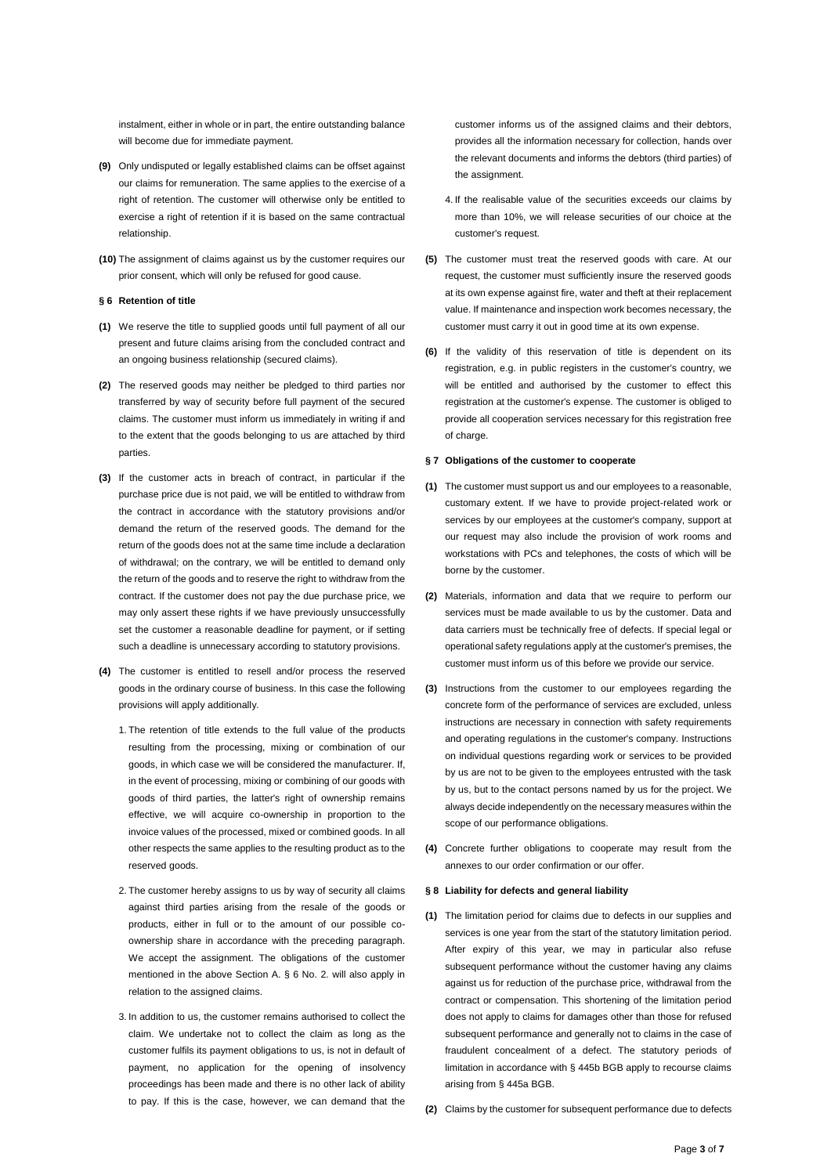instalment, either in whole or in part, the entire outstanding balance will become due for immediate payment.

- **(9)** Only undisputed or legally established claims can be offset against our claims for remuneration. The same applies to the exercise of a right of retention. The customer will otherwise only be entitled to exercise a right of retention if it is based on the same contractual relationship.
- **(10)** The assignment of claims against us by the customer requires our prior consent, which will only be refused for good cause.

#### <span id="page-2-0"></span>**§ 6 Retention of title**

- **(1)** We reserve the title to supplied goods until full payment of all our present and future claims arising from the concluded contract and an ongoing business relationship (secured claims).
- **(2)** The reserved goods may neither be pledged to third parties nor transferred by way of security before full payment of the secured claims. The customer must inform us immediately in writing if and to the extent that the goods belonging to us are attached by third parties.
- **(3)** If the customer acts in breach of contract, in particular if the purchase price due is not paid, we will be entitled to withdraw from the contract in accordance with the statutory provisions and/or demand the return of the reserved goods. The demand for the return of the goods does not at the same time include a declaration of withdrawal; on the contrary, we will be entitled to demand only the return of the goods and to reserve the right to withdraw from the contract. If the customer does not pay the due purchase price, we may only assert these rights if we have previously unsuccessfully set the customer a reasonable deadline for payment, or if setting such a deadline is unnecessary according to statutory provisions.
- **(4)** The customer is entitled to resell and/or process the reserved goods in the ordinary course of business. In this case the following provisions will apply additionally.
	- 1. The retention of title extends to the full value of the products resulting from the processing, mixing or combination of our goods, in which case we will be considered the manufacturer. If, in the event of processing, mixing or combining of our goods with goods of third parties, the latter's right of ownership remains effective, we will acquire co-ownership in proportion to the invoice values of the processed, mixed or combined goods. In all other respects the same applies to the resulting product as to the reserved goods.
	- 2. The customer hereby assigns to us by way of security all claims against third parties arising from the resale of the goods or products, either in full or to the amount of our possible coownership share in accordance with the preceding paragraph. We accept the assignment. The obligations of the customer mentioned in the above Section A. § 6 No. 2. will also apply in relation to the assigned claims.
	- 3. In addition to us, the customer remains authorised to collect the claim. We undertake not to collect the claim as long as the customer fulfils its payment obligations to us, is not in default of payment, no application for the opening of insolvency proceedings has been made and there is no other lack of ability to pay. If this is the case, however, we can demand that the

customer informs us of the assigned claims and their debtors, provides all the information necessary for collection, hands over the relevant documents and informs the debtors (third parties) of the assignment

- 4. If the realisable value of the securities exceeds our claims by more than 10%, we will release securities of our choice at the customer's request.
- **(5)** The customer must treat the reserved goods with care. At our request, the customer must sufficiently insure the reserved goods at its own expense against fire, water and theft at their replacement value. If maintenance and inspection work becomes necessary, the customer must carry it out in good time at its own expense.
- **(6)** If the validity of this reservation of title is dependent on its registration, e.g. in public registers in the customer's country, we will be entitled and authorised by the customer to effect this registration at the customer's expense. The customer is obliged to provide all cooperation services necessary for this registration free of charge.

#### <span id="page-2-1"></span>**§ 7 Obligations of the customer to cooperate**

- **(1)** The customer must support us and our employees to a reasonable, customary extent. If we have to provide project-related work or services by our employees at the customer's company, support at our request may also include the provision of work rooms and workstations with PCs and telephones, the costs of which will be borne by the customer.
- **(2)** Materials, information and data that we require to perform our services must be made available to us by the customer. Data and data carriers must be technically free of defects. If special legal or operational safety regulations apply at the customer's premises, the customer must inform us of this before we provide our service.
- **(3)** Instructions from the customer to our employees regarding the concrete form of the performance of services are excluded, unless instructions are necessary in connection with safety requirements and operating regulations in the customer's company. Instructions on individual questions regarding work or services to be provided by us are not to be given to the employees entrusted with the task by us, but to the contact persons named by us for the project. We always decide independently on the necessary measures within the scope of our performance obligations.
- **(4)** Concrete further obligations to cooperate may result from the annexes to our order confirmation or our offer.

#### <span id="page-2-2"></span>**§ 8 Liability for defects and general liability**

- **(1)** The limitation period for claims due to defects in our supplies and services is one year from the start of the statutory limitation period. After expiry of this year, we may in particular also refuse subsequent performance without the customer having any claims against us for reduction of the purchase price, withdrawal from the contract or compensation. This shortening of the limitation period does not apply to claims for damages other than those for refused subsequent performance and generally not to claims in the case of fraudulent concealment of a defect. The statutory periods of limitation in accordance with § 445b BGB apply to recourse claims arising from § 445a BGB.
- **(2)** Claims by the customer for subsequent performance due to defects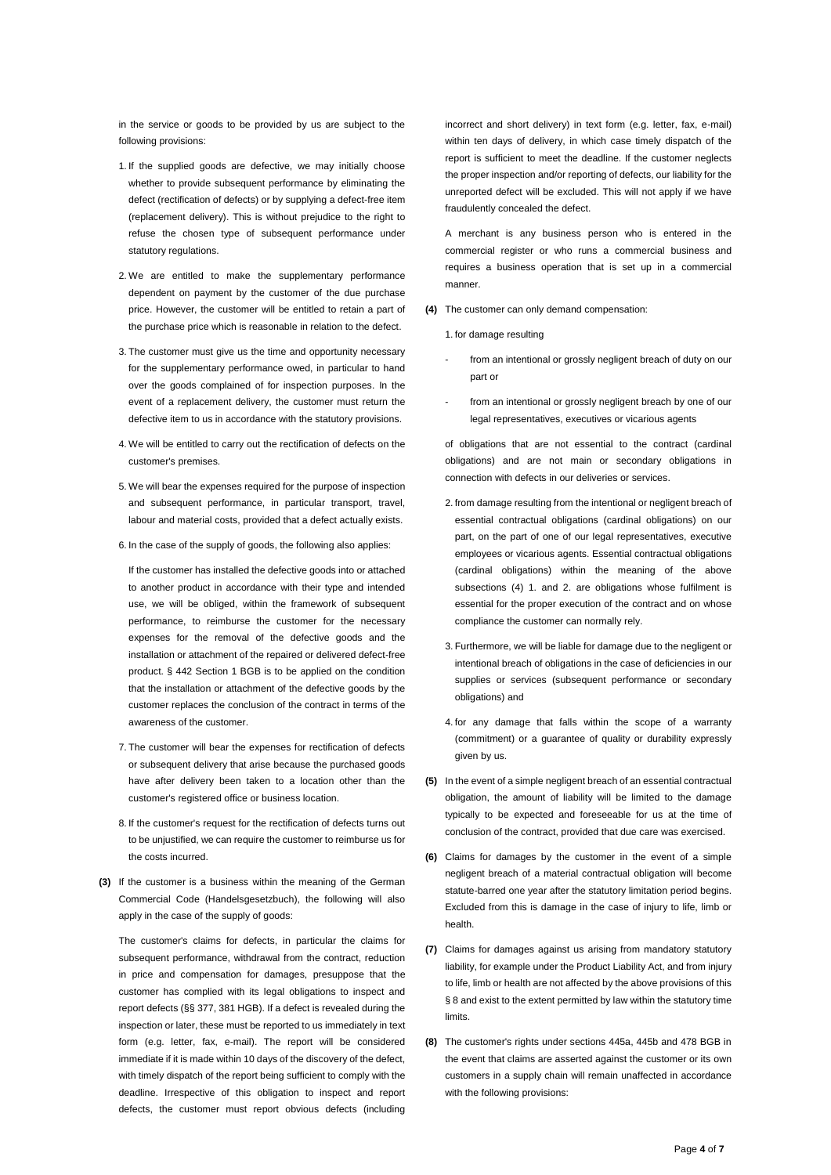in the service or goods to be provided by us are subject to the following provisions:

- 1. If the supplied goods are defective, we may initially choose whether to provide subsequent performance by eliminating the defect (rectification of defects) or by supplying a defect-free item (replacement delivery). This is without prejudice to the right to refuse the chosen type of subsequent performance under statutory regulations.
- 2. We are entitled to make the supplementary performance dependent on payment by the customer of the due purchase price. However, the customer will be entitled to retain a part of the purchase price which is reasonable in relation to the defect.
- 3. The customer must give us the time and opportunity necessary for the supplementary performance owed, in particular to hand over the goods complained of for inspection purposes. In the event of a replacement delivery, the customer must return the defective item to us in accordance with the statutory provisions.
- 4. We will be entitled to carry out the rectification of defects on the customer's premises.
- 5. We will bear the expenses required for the purpose of inspection and subsequent performance, in particular transport, travel, labour and material costs, provided that a defect actually exists.
- 6. In the case of the supply of goods, the following also applies:

If the customer has installed the defective goods into or attached to another product in accordance with their type and intended use, we will be obliged, within the framework of subsequent performance, to reimburse the customer for the necessary expenses for the removal of the defective goods and the installation or attachment of the repaired or delivered defect-free product. § [442](https://beck-online.beck.de/?typ=reference&y=100&g=BGB&p=442) Section [1](https://beck-online.beck.de/?typ=reference&y=100&g=BGB&p=442&x=1) BGB is to be applied on the condition that the installation or attachment of the defective goods by the customer replaces the conclusion of the contract in terms of the awareness of the customer.

- 7. The customer will bear the expenses for rectification of defects or subsequent delivery that arise because the purchased goods have after delivery been taken to a location other than the customer's registered office or business location.
- 8. If the customer's request for the rectification of defects turns out to be unjustified, we can require the customer to reimburse us for the costs incurred.
- **(3)** If the customer is a business within the meaning of the German Commercial Code (Handelsgesetzbuch), the following will also apply in the case of the supply of goods:

The customer's claims for defects, in particular the claims for subsequent performance, withdrawal from the contract, reduction in price and compensation for damages, presuppose that the customer has complied with its legal obligations to inspect and report defects (§§ 377, 381 HGB). If a defect is revealed during the inspection or later, these must be reported to us immediately in text form (e.g. letter, fax, e-mail). The report will be considered immediate if it is made within 10 days of the discovery of the defect, with timely dispatch of the report being sufficient to comply with the deadline. Irrespective of this obligation to inspect and report defects, the customer must report obvious defects (including

incorrect and short delivery) in text form (e.g. letter, fax, e-mail) within ten days of delivery, in which case timely dispatch of the report is sufficient to meet the deadline. If the customer neglects the proper inspection and/or reporting of defects, our liability for the unreported defect will be excluded. This will not apply if we have fraudulently concealed the defect.

A merchant is any business person who is entered in the commercial register or who runs a commercial business and requires a business operation that is set up in a commercial manner.

**(4)** The customer can only demand compensation:

1. for damage resulting

- from an intentional or grossly negligent breach of duty on our part or
- from an intentional or grossly negligent breach by one of our legal representatives, executives or vicarious agents

of obligations that are not essential to the contract (cardinal obligations) and are not main or secondary obligations in connection with defects in our deliveries or services.

- 2. from damage resulting from the intentional or negligent breach of essential contractual obligations (cardinal obligations) on our part, on the part of one of our legal representatives, executive employees or vicarious agents. Essential contractual obligations (cardinal obligations) within the meaning of the above subsections (4) 1. and 2. are obligations whose fulfilment is essential for the proper execution of the contract and on whose compliance the customer can normally rely.
- 3. Furthermore, we will be liable for damage due to the negligent or intentional breach of obligations in the case of deficiencies in our supplies or services (subsequent performance or secondary obligations) and
- 4. for any damage that falls within the scope of a warranty (commitment) or a guarantee of quality or durability expressly given by us.
- **(5)** In the event of a simple negligent breach of an essential contractual obligation, the amount of liability will be limited to the damage typically to be expected and foreseeable for us at the time of conclusion of the contract, provided that due care was exercised.
- **(6)** Claims for damages by the customer in the event of a simple negligent breach of a material contractual obligation will become statute-barred one year after the statutory limitation period begins. Excluded from this is damage in the case of injury to life, limb or health.
- **(7)** Claims for damages against us arising from mandatory statutory liability, for example under the Product Liability Act, and from injury to life, limb or health are not affected by the above provisions of this § 8 and exist to the extent permitted by law within the statutory time limits.
- **(8)** The customer's rights under sections 445a, 445b and 478 BGB in the event that claims are asserted against the customer or its own customers in a supply chain will remain unaffected in accordance with the following provisions: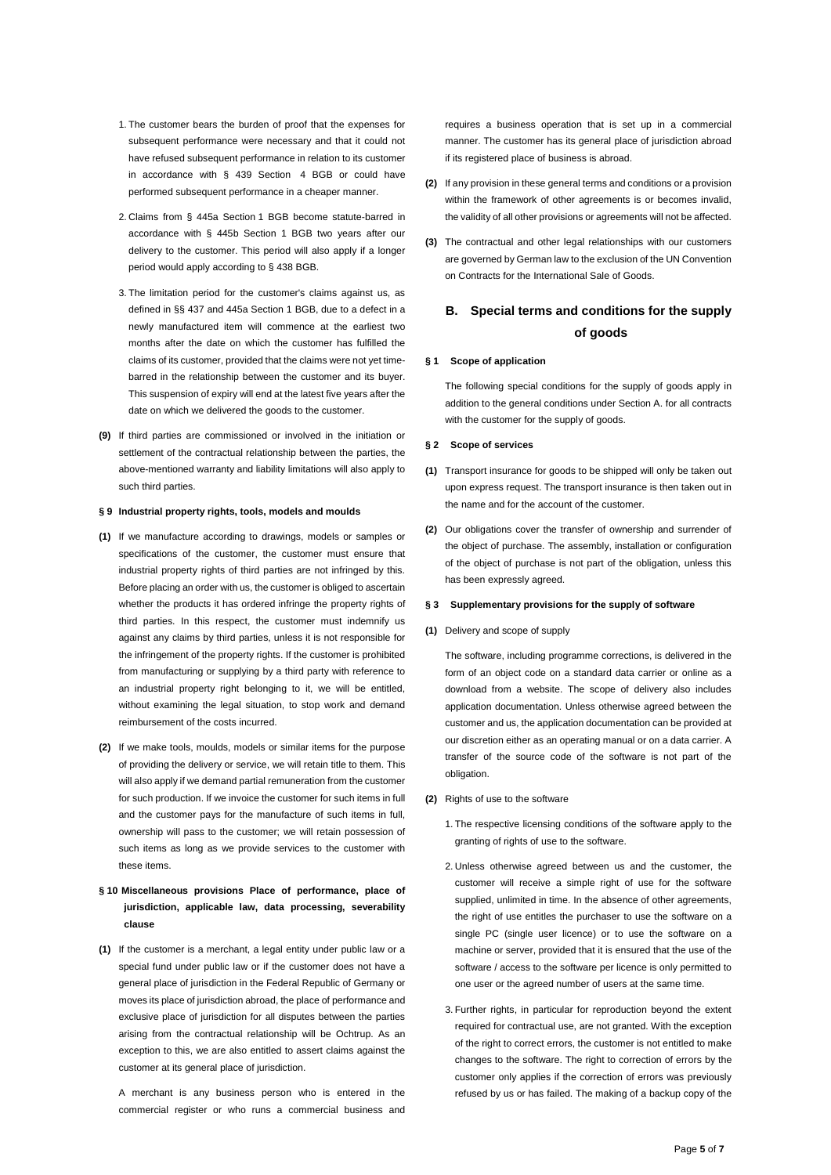- 1. The customer bears the burden of proof that the expenses for subsequent performance were necessary and that it could not have refused subsequent performance in relation to its customer in accordance with [§ 439](https://beck-online.beck.de/?typ=reference&y=100&g=BGB&p=439) Section [4](https://beck-online.beck.de/?typ=reference&y=100&g=BGB&p=439&x=4) BGB or could have performed subsequent performance in a cheaper manner.
- 2. Claims from [§ 445a](https://beck-online.beck.de/?typ=reference&y=100&g=BGB&p=445A) Section [1](https://beck-online.beck.de/?typ=reference&y=100&g=BGB&p=445A&x=1) BGB become statute-barred in accordance with § 445b Section 1 BGB two years after our delivery to the customer. This period will also apply if a longer period would apply according to § 438 BGB.
- 3. The limitation period for the customer's claims against us, as defined in §[§ 437](https://beck-online.beck.de/?typ=reference&y=100&g=BGB&p=437) an[d 445a](https://beck-online.beck.de/?typ=reference&y=100&g=BGB&p=445a) Sectio[n 1](https://beck-online.beck.de/?typ=reference&y=100&g=BGB&p=445a&x=1) BGB, due to a defect in a newly manufactured item will commence at the earliest two months after the date on which the customer has fulfilled the claims of its customer, provided that the claims were not yet timebarred in the relationship between the customer and its buyer. This suspension of expiry will end at the latest five years after the date on which we delivered the goods to the customer.
- **(9)** If third parties are commissioned or involved in the initiation or settlement of the contractual relationship between the parties, the above-mentioned warranty and liability limitations will also apply to such third parties.

#### <span id="page-4-0"></span>**§ 9 Industrial property rights, tools, models and moulds**

- **(1)** If we manufacture according to drawings, models or samples or specifications of the customer, the customer must ensure that industrial property rights of third parties are not infringed by this. Before placing an order with us, the customer is obliged to ascertain whether the products it has ordered infringe the property rights of third parties. In this respect, the customer must indemnify us against any claims by third parties, unless it is not responsible for the infringement of the property rights. If the customer is prohibited from manufacturing or supplying by a third party with reference to an industrial property right belonging to it, we will be entitled, without examining the legal situation, to stop work and demand reimbursement of the costs incurred.
- **(2)** If we make tools, moulds, models or similar items for the purpose of providing the delivery or service, we will retain title to them. This will also apply if we demand partial remuneration from the customer for such production. If we invoice the customer for such items in full and the customer pays for the manufacture of such items in full, ownership will pass to the customer; we will retain possession of such items as long as we provide services to the customer with these items.

# <span id="page-4-1"></span>**§ 10 Miscellaneous provisions Place of performance, place of jurisdiction, applicable law, data processing, severability clause**

**(1)** If the customer is a merchant, a legal entity under public law or a special fund under public law or if the customer does not have a general place of jurisdiction in the Federal Republic of Germany or moves its place of jurisdiction abroad, the place of performance and exclusive place of jurisdiction for all disputes between the parties arising from the contractual relationship will be Ochtrup. As an exception to this, we are also entitled to assert claims against the customer at its general place of jurisdiction.

A merchant is any business person who is entered in the commercial register or who runs a commercial business and requires a business operation that is set up in a commercial manner. The customer has its general place of jurisdiction abroad if its registered place of business is abroad.

- **(2)** If any provision in these general terms and conditions or a provision within the framework of other agreements is or becomes invalid, the validity of all other provisions or agreements will not be affected.
- **(3)** The contractual and other legal relationships with our customers are governed by German law to the exclusion of the UN Convention on Contracts for the International Sale of Goods.

# <span id="page-4-2"></span>**B. Special terms and conditions for the supply of goods**

#### <span id="page-4-3"></span>**§ 1 Scope of application**

The following special conditions for the supply of goods apply in addition to the general conditions under Section A. for all contracts with the customer for the supply of goods.

#### <span id="page-4-4"></span>**§ 2 Scope of services**

- **(1)** Transport insurance for goods to be shipped will only be taken out upon express request. The transport insurance is then taken out in the name and for the account of the customer.
- **(2)** Our obligations cover the transfer of ownership and surrender of the object of purchase. The assembly, installation or configuration of the object of purchase is not part of the obligation, unless this has been expressly agreed.

#### <span id="page-4-5"></span>**§ 3 Supplementary provisions for the supply of software**

**(1)** Delivery and scope of supply

The software, including programme corrections, is delivered in the form of an object code on a standard data carrier or online as a download from a website. The scope of delivery also includes application documentation. Unless otherwise agreed between the customer and us, the application documentation can be provided at our discretion either as an operating manual or on a data carrier. A transfer of the source code of the software is not part of the obligation.

- **(2)** Rights of use to the software
	- 1. The respective licensing conditions of the software apply to the granting of rights of use to the software.
	- 2. Unless otherwise agreed between us and the customer, the customer will receive a simple right of use for the software supplied, unlimited in time. In the absence of other agreements, the right of use entitles the purchaser to use the software on a single PC (single user licence) or to use the software on a machine or server, provided that it is ensured that the use of the software / access to the software per licence is only permitted to one user or the agreed number of users at the same time.
	- 3. Further rights, in particular for reproduction beyond the extent required for contractual use, are not granted. With the exception of the right to correct errors, the customer is not entitled to make changes to the software. The right to correction of errors by the customer only applies if the correction of errors was previously refused by us or has failed. The making of a backup copy of the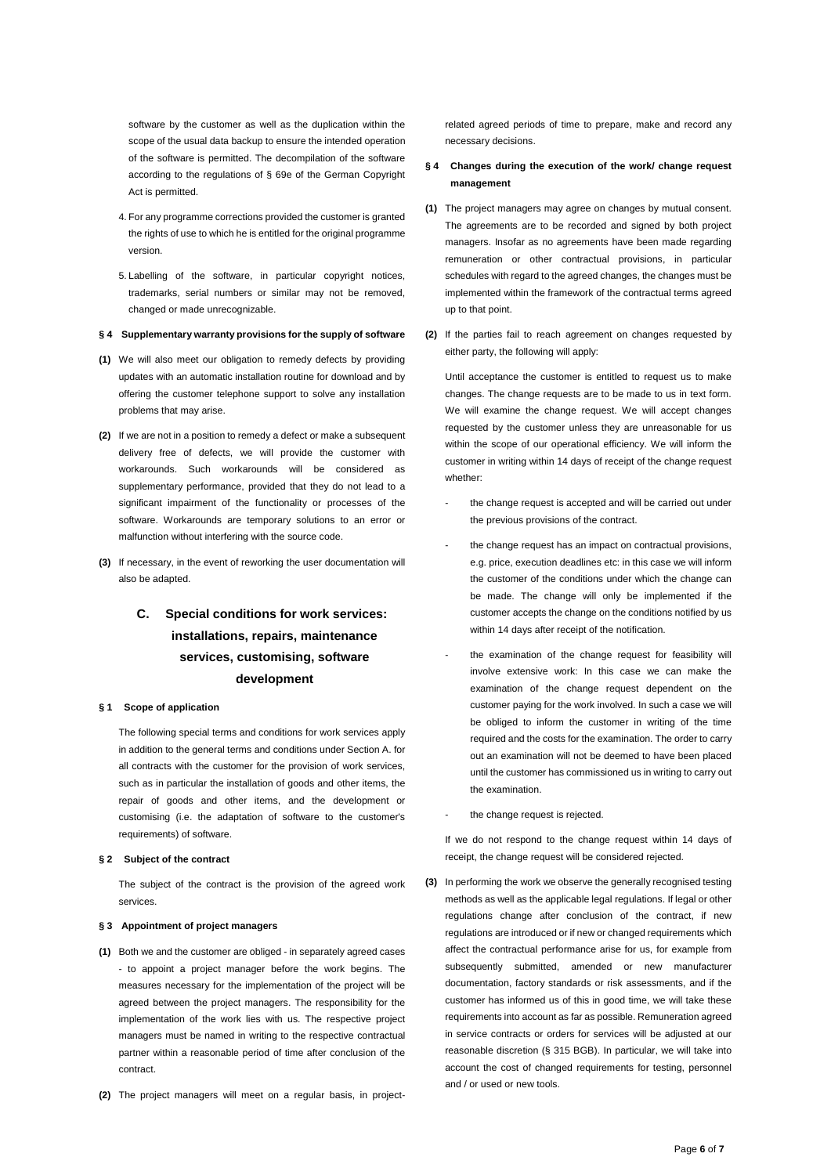software by the customer as well as the duplication within the scope of the usual data backup to ensure the intended operation of the software is permitted. The decompilation of the software according to the regulations of § 69e of the German Copyright Act is permitted.

- 4. For any programme corrections provided the customer is granted the rights of use to which he is entitled for the original programme version.
- 5. Labelling of the software, in particular copyright notices, trademarks, serial numbers or similar may not be removed, changed or made unrecognizable.

#### <span id="page-5-0"></span>**§ 4 Supplementary warranty provisions for the supply of software**

- **(1)** We will also meet our obligation to remedy defects by providing updates with an automatic installation routine for download and by offering the customer telephone support to solve any installation problems that may arise.
- **(2)** If we are not in a position to remedy a defect or make a subsequent delivery free of defects, we will provide the customer with workarounds. Such workarounds will be considered as supplementary performance, provided that they do not lead to a significant impairment of the functionality or processes of the software. Workarounds are temporary solutions to an error or malfunction without interfering with the source code.
- **(3)** If necessary, in the event of reworking the user documentation will also be adapted.

# <span id="page-5-1"></span>**C. Special conditions for work services: installations, repairs, maintenance services, customising, software development**

### <span id="page-5-2"></span>**§ 1 Scope of application**

The following special terms and conditions for work services apply in addition to the general terms and conditions under Section A. for all contracts with the customer for the provision of work services, such as in particular the installation of goods and other items, the repair of goods and other items, and the development or customising (i.e. the adaptation of software to the customer's requirements) of software.

### <span id="page-5-3"></span>**§ 2 Subject of the contract**

The subject of the contract is the provision of the agreed work services.

#### <span id="page-5-4"></span>**§ 3 Appointment of project managers**

- **(1)** Both we and the customer are obliged in separately agreed cases - to appoint a project manager before the work begins. The measures necessary for the implementation of the project will be agreed between the project managers. The responsibility for the implementation of the work lies with us. The respective project managers must be named in writing to the respective contractual partner within a reasonable period of time after conclusion of the contract.
- **(2)** The project managers will meet on a regular basis, in project-

related agreed periods of time to prepare, make and record any necessary decisions.

- <span id="page-5-5"></span>**§ 4 Changes during the execution of the work/ change request management**
- **(1)** The project managers may agree on changes by mutual consent. The agreements are to be recorded and signed by both project managers. Insofar as no agreements have been made regarding remuneration or other contractual provisions, in particular schedules with regard to the agreed changes, the changes must be implemented within the framework of the contractual terms agreed up to that point.
- **(2)** If the parties fail to reach agreement on changes requested by either party, the following will apply:

Until acceptance the customer is entitled to request us to make changes. The change requests are to be made to us in text form. We will examine the change request. We will accept changes requested by the customer unless they are unreasonable for us within the scope of our operational efficiency. We will inform the customer in writing within 14 days of receipt of the change request whether:

- the change request is accepted and will be carried out under the previous provisions of the contract.
- the change request has an impact on contractual provisions, e.g. price, execution deadlines etc: in this case we will inform the customer of the conditions under which the change can be made. The change will only be implemented if the customer accepts the change on the conditions notified by us within 14 days after receipt of the notification.
- the examination of the change request for feasibility will involve extensive work: In this case we can make the examination of the change request dependent on the customer paying for the work involved. In such a case we will be obliged to inform the customer in writing of the time required and the costs for the examination. The order to carry out an examination will not be deemed to have been placed until the customer has commissioned us in writing to carry out the examination.
- the change request is rejected.

If we do not respond to the change request within 14 days of receipt, the change request will be considered rejected.

**(3)** In performing the work we observe the generally recognised testing methods as well as the applicable legal regulations. If legal or other regulations change after conclusion of the contract, if new regulations are introduced or if new or changed requirements which affect the contractual performance arise for us, for example from subsequently submitted, amended or new manufacturer documentation, factory standards or risk assessments, and if the customer has informed us of this in good time, we will take these requirements into account as far as possible. Remuneration agreed in service contracts or orders for services will be adjusted at our reasonable discretion (§ 315 BGB). In particular, we will take into account the cost of changed requirements for testing, personnel and / or used or new tools.